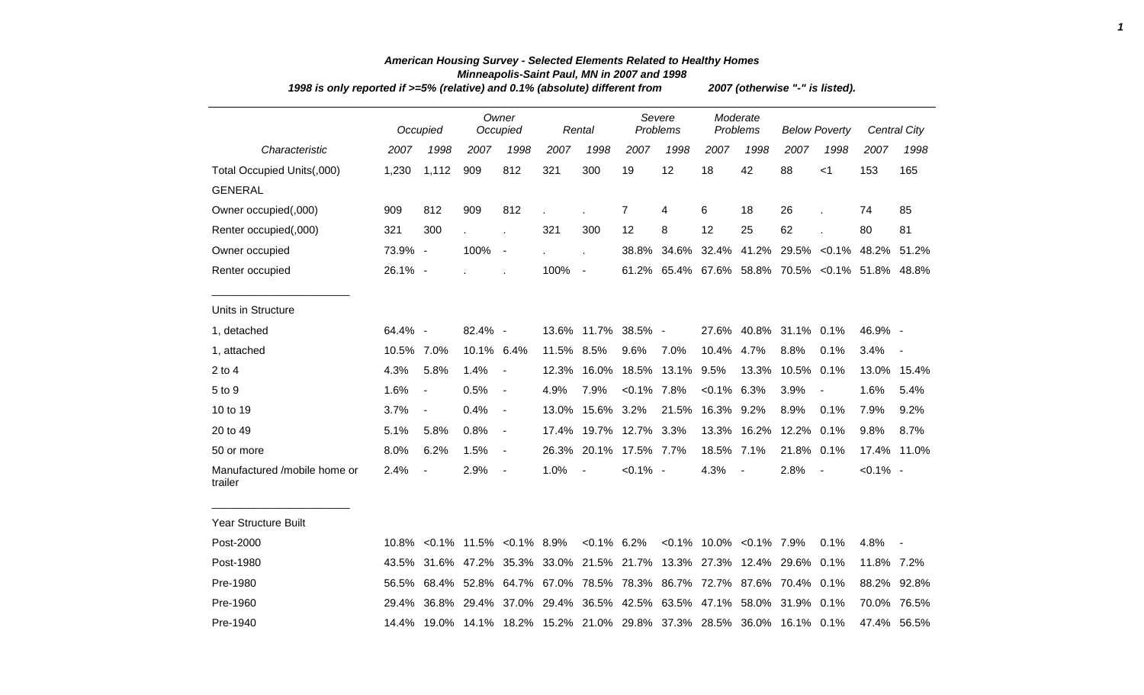| 1998 is only reported if >=5% (relative) and 0.1% (absolute) different from |            |                          | 2007 (otherwise "-" is listed). |                          |             |                        |                |                                                                        |               |                                |                      |                |                                            |                     |
|-----------------------------------------------------------------------------|------------|--------------------------|---------------------------------|--------------------------|-------------|------------------------|----------------|------------------------------------------------------------------------|---------------|--------------------------------|----------------------|----------------|--------------------------------------------|---------------------|
|                                                                             |            | Occupied                 |                                 | Owner<br>Occupied        |             | Rental                 |                | Severe<br>Problems                                                     |               | Moderate<br>Problems           | <b>Below Poverty</b> |                |                                            | <b>Central City</b> |
| Characteristic                                                              | 2007       | 1998                     | 2007                            | 1998                     | 2007        | 1998                   | 2007           | 1998                                                                   | 2007          | 1998                           | 2007                 | 1998           | 2007                                       | 1998                |
| Total Occupied Units(,000)                                                  | 1,230      | 1,112                    | 909                             | 812                      | 321         | 300                    | 19             | 12                                                                     | 18            | 42                             | 88                   | $<$ 1          | 153                                        | 165                 |
| <b>GENERAL</b>                                                              |            |                          |                                 |                          |             |                        |                |                                                                        |               |                                |                      |                |                                            |                     |
| Owner occupied(,000)                                                        | 909        | 812                      | 909                             | 812                      |             |                        | $\overline{7}$ | 4                                                                      | 6             | 18                             | 26                   |                | 74                                         | 85                  |
| Renter occupied(,000)                                                       | 321        | 300                      |                                 |                          | 321         | 300                    | 12             | 8                                                                      | 12            | 25                             | 62                   |                | 80                                         | 81                  |
| Owner occupied                                                              | 73.9% -    |                          | 100%                            | $\overline{\phantom{a}}$ |             |                        | 38.8%          | 34.6%                                                                  |               |                                |                      |                | 32.4% 41.2% 29.5% < 0.1% 48.2% 51.2%       |                     |
| Renter occupied                                                             | 26.1% -    |                          |                                 |                          | 100%        | $\sim$                 | 61.2%          |                                                                        |               |                                |                      |                | 65.4% 67.6% 58.8% 70.5% < 0.1% 51.8% 48.8% |                     |
| Units in Structure                                                          |            |                          |                                 |                          |             |                        |                |                                                                        |               |                                |                      |                |                                            |                     |
| 1, detached                                                                 | 64.4% -    |                          | 82.4% -                         |                          |             | 13.6% 11.7% 38.5% -    |                |                                                                        |               | 27.6% 40.8% 31.1% 0.1%         |                      |                | 46.9% -                                    |                     |
| 1, attached                                                                 | 10.5% 7.0% |                          | 10.1% 6.4%                      |                          | 11.5% 8.5%  |                        | 9.6%           | 7.0%                                                                   | 10.4%         | 4.7%                           | 8.8%                 | 0.1%           | 3.4%                                       |                     |
| $2$ to 4                                                                    | 4.3%       | 5.8%                     | 1.4%                            | $\blacksquare$           | 12.3%       | 16.0%                  | 18.5%          | 13.1%                                                                  | 9.5%          | 13.3%                          | 10.5%                | 0.1%           |                                            | 13.0% 15.4%         |
| 5 to 9                                                                      | 1.6%       | $\overline{\phantom{a}}$ | 0.5%                            | $\overline{\phantom{a}}$ | 4.9%        | 7.9%                   | $< 0.1\%$ 7.8% |                                                                        | $<0.1\%$ 6.3% |                                | 3.9%                 |                | 1.6%                                       | 5.4%                |
| 10 to 19                                                                    | 3.7%       | $\blacksquare$           | 0.4%                            | $\blacksquare$           | 13.0%       | 15.6% 3.2%             |                | 21.5%                                                                  | 16.3% 9.2%    |                                | 8.9%                 | 0.1%           | 7.9%                                       | 9.2%                |
| 20 to 49                                                                    | 5.1%       | 5.8%                     | 0.8%                            | $\blacksquare$           |             | 17.4% 19.7% 12.7% 3.3% |                |                                                                        |               | 13.3% 16.2%                    | 12.2%                | 0.1%           | 9.8%                                       | 8.7%                |
| 50 or more                                                                  | 8.0%       | 6.2%                     | 1.5%                            | $\blacksquare$           | 26.3%       | 20.1%                  | 17.5% 7.7%     |                                                                        | 18.5% 7.1%    |                                | 21.8% 0.1%           |                |                                            | 17.4% 11.0%         |
| Manufactured /mobile home or<br>trailer                                     | 2.4%       | $\blacksquare$           | 2.9%                            | $\overline{\phantom{a}}$ | 1.0%        | $\blacksquare$         | $< 0.1\%$ -    |                                                                        | 4.3%          | $\overline{\phantom{a}}$       | 2.8%                 | $\blacksquare$ | $< 0.1\%$ -                                |                     |
| <b>Year Structure Built</b>                                                 |            |                          |                                 |                          |             |                        |                |                                                                        |               |                                |                      |                |                                            |                     |
| Post-2000                                                                   |            |                          | 10.8% < 0.1% 11.5% < 0.1% 8.9%  |                          |             | $< 0.1\%$ 6.2%         |                |                                                                        |               | $< 0.1\%$ 10.0% $< 0.1\%$ 7.9% |                      | 0.1%           | 4.8%                                       |                     |
| Post-1980                                                                   |            | 43.5% 31.6% 47.2%        |                                 |                          | 35.3% 33.0% | 21.5% 21.7%            |                |                                                                        |               | 13.3% 27.3% 12.4% 29.6%        |                      | $0.1\%$        | 11.8% 7.2%                                 |                     |
| Pre-1980                                                                    | 56.5%      |                          | 68.4% 52.8%                     |                          |             |                        |                | 64.7% 67.0% 78.5% 78.3% 86.7% 72.7% 87.6% 70.4% 0.1%                   |               |                                |                      |                | 88.2%                                      | 92.8%               |
| Pre-1960                                                                    |            |                          |                                 |                          |             |                        |                | 29.4% 36.8% 29.4% 37.0% 29.4% 36.5% 42.5% 63.5% 47.1% 58.0% 31.9% 0.1% |               |                                |                      |                |                                            | 70.0% 76.5%         |

Pre-1940 14.4% 19.0% 14.1% 18.2% 15.2% 21.0% 29.8% 37.3% 28.5% 36.0% 16.1% 0.1% 47.4% 56.5%

## *American Housing Survey - Selected Elements Related to Healthy Homes Minneapolis-Saint Paul, MN in 2007 and 1998*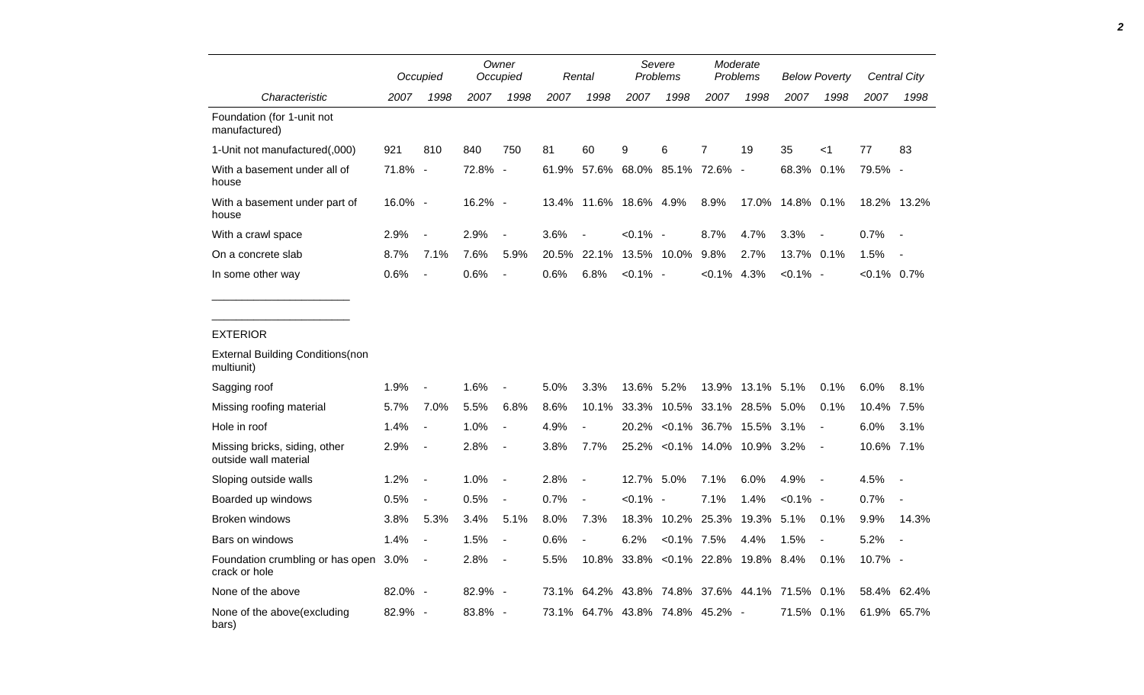|                                                        |         | Occupied                 |         | Owner<br>Occupied        |       | Rental                   | Severe<br>Problems |                           | Moderate<br>Problems |                          | <b>Below Poverty</b> |                          | Central City  |                          |
|--------------------------------------------------------|---------|--------------------------|---------|--------------------------|-------|--------------------------|--------------------|---------------------------|----------------------|--------------------------|----------------------|--------------------------|---------------|--------------------------|
| Characteristic                                         | 2007    | 1998                     | 2007    | 1998                     | 2007  | 1998                     | 2007               | 1998                      | 2007                 | 1998                     | 2007                 | 1998                     | 2007          | 1998                     |
| Foundation (for 1-unit not<br>manufactured)            |         |                          |         |                          |       |                          |                    |                           |                      |                          |                      |                          |               |                          |
| 1-Unit not manufactured(,000)                          | 921     | 810                      | 840     | 750                      | 81    | 60                       | 9                  | 6                         | $\overline{7}$       | 19                       | 35                   | <1                       | 77            | 83                       |
| With a basement under all of<br>house                  | 71.8% - |                          | 72.8%   | $\overline{\phantom{a}}$ | 61.9% |                          |                    | 57.6% 68.0% 85.1% 72.6%   |                      | $\overline{\phantom{a}}$ | 68.3%                | 0.1%                     | 79.5% -       |                          |
| With a basement under part of<br>house                 | 16.0% - |                          | 16.2% - |                          |       | 13.4% 11.6% 18.6% 4.9%   |                    |                           | 8.9%                 | 17.0%                    | 14.8% 0.1%           |                          |               | 18.2% 13.2%              |
| With a crawl space                                     | 2.9%    | $\overline{\phantom{a}}$ | 2.9%    | $\overline{\phantom{a}}$ | 3.6%  |                          | $< 0.1\%$ -        |                           | 8.7%                 | 4.7%                     | 3.3%                 |                          | 0.7%          |                          |
| On a concrete slab                                     | 8.7%    | 7.1%                     | 7.6%    | 5.9%                     | 20.5% | 22.1%                    |                    | 13.5% 10.0%               | 9.8%                 | 2.7%                     | 13.7% 0.1%           |                          | 1.5%          |                          |
| In some other way                                      | 0.6%    | $\overline{\phantom{a}}$ | 0.6%    | $\overline{\phantom{a}}$ | 0.6%  | 6.8%                     | $< 0.1\%$ -        |                           | $< 0.1\%$            | 4.3%                     | $< 0.1\%$ -          |                          | $<0.1\%$ 0.7% |                          |
|                                                        |         |                          |         |                          |       |                          |                    |                           |                      |                          |                      |                          |               |                          |
| <b>EXTERIOR</b>                                        |         |                          |         |                          |       |                          |                    |                           |                      |                          |                      |                          |               |                          |
| <b>External Building Conditions (non</b><br>multiunit) |         |                          |         |                          |       |                          |                    |                           |                      |                          |                      |                          |               |                          |
| Sagging roof                                           | 1.9%    |                          | 1.6%    |                          | 5.0%  | 3.3%                     | 13.6%              | 5.2%                      | 13.9%                | 13.1% 5.1%               |                      | 0.1%                     | 6.0%          | 8.1%                     |
| Missing roofing material                               | 5.7%    | 7.0%                     | 5.5%    | 6.8%                     | 8.6%  | 10.1%                    | 33.3%              | 10.5%                     | 33.1%                | 28.5%                    | 5.0%                 | 0.1%                     | 10.4%         | 7.5%                     |
| Hole in roof                                           | 1.4%    | $\overline{\phantom{a}}$ | 1.0%    | $\overline{\phantom{a}}$ | 4.9%  |                          | 20.2%              |                           | $<0.1\%$ 36.7% 15.5% |                          | 3.1%                 | $\blacksquare$           | 6.0%          | 3.1%                     |
| Missing bricks, siding, other<br>outside wall material | 2.9%    | $\overline{\phantom{a}}$ | 2.8%    | $\blacksquare$           | 3.8%  | 7.7%                     |                    | 25.2% < 0.1% 14.0%        |                      | 10.9%                    | 3.2%                 |                          | 10.6%         | 7.1%                     |
| Sloping outside walls                                  | 1.2%    | $\overline{\phantom{a}}$ | 1.0%    | $\overline{\phantom{a}}$ | 2.8%  | $\overline{\phantom{a}}$ | 12.7% 5.0%         |                           | 7.1%                 | 6.0%                     | 4.9%                 | $\overline{\phantom{a}}$ | 4.5%          |                          |
| Boarded up windows                                     | 0.5%    | $\blacksquare$           | 0.5%    | $\overline{\phantom{a}}$ | 0.7%  | $\overline{\phantom{a}}$ | $< 0.1\%$ -        |                           | 7.1%                 | 1.4%                     | $< 0.1\%$ -          |                          | 0.7%          |                          |
| <b>Broken windows</b>                                  | 3.8%    | 5.3%                     | 3.4%    | 5.1%                     | 8.0%  | 7.3%                     | 18.3%              | 10.2%                     | 25.3%                | 19.3%                    | 5.1%                 | 0.1%                     | 9.9%          | 14.3%                    |
| Bars on windows                                        | 1.4%    | $\overline{\phantom{a}}$ | 1.5%    | $\overline{\phantom{a}}$ | 0.6%  | $\overline{\phantom{a}}$ | 6.2%               | $< 0.1\%$ 7.5%            |                      | 4.4%                     | 1.5%                 | $\blacksquare$           | 5.2%          | $\overline{\phantom{a}}$ |
| Foundation crumbling or has open<br>crack or hole      | $3.0\%$ | $\overline{\phantom{a}}$ | 2.8%    | $\blacksquare$           | 5.5%  | 10.8%                    |                    | 33.8% < 0.1% 22.8%        |                      | 19.8% 8.4%               |                      | 0.1%                     | 10.7% -       |                          |
| None of the above                                      | 82.0% - |                          | 82.9% - |                          | 73.1% |                          | 64.2% 43.8% 74.8%  |                           | 37.6%                | 44.1%                    | 71.5%                | 0.1%                     | 58.4%         | 62.4%                    |
| None of the above(excluding<br>bars)                   | 82.9% - |                          | 83.8% - |                          | 73.1% |                          |                    | 64.7% 43.8% 74.8% 45.2% - |                      |                          | 71.5%                | 0.1%                     | 61.9%         | 65.7%                    |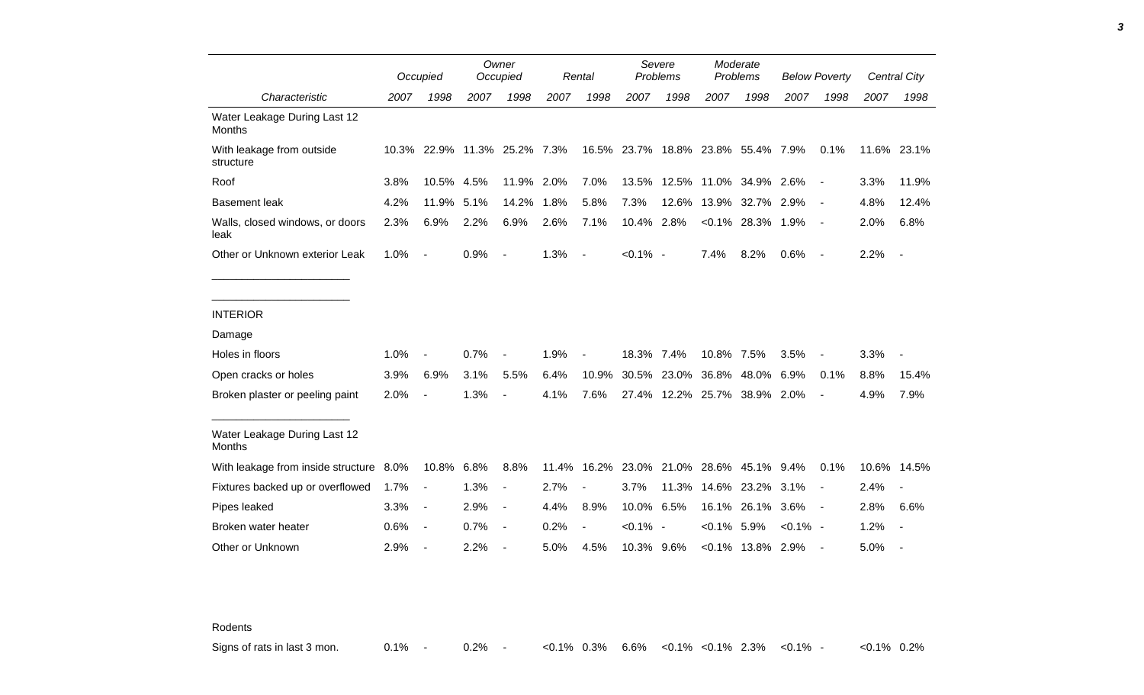|                                               |      | Occupied       |      | Owner<br>Occupied            |       | Rental                   | Severe<br>Problems |                                    | Moderate<br><b>Problems</b> |                        | <b>Below Poverty</b> |                |      | Central City             |
|-----------------------------------------------|------|----------------|------|------------------------------|-------|--------------------------|--------------------|------------------------------------|-----------------------------|------------------------|----------------------|----------------|------|--------------------------|
| Characteristic                                | 2007 | 1998           | 2007 | 1998                         | 2007  | 1998                     | 2007               | 1998                               | 2007                        | 1998                   | 2007                 | 1998           | 2007 | 1998                     |
| Water Leakage During Last 12<br><b>Months</b> |      |                |      |                              |       |                          |                    |                                    |                             |                        |                      |                |      |                          |
| With leakage from outside<br>structure        |      |                |      | 10.3% 22.9% 11.3% 25.2% 7.3% |       |                          |                    | 16.5% 23.7% 18.8% 23.8% 55.4% 7.9% |                             |                        |                      | 0.1%           |      | 11.6% 23.1%              |
| Roof                                          | 3.8% | 10.5%          | 4.5% | 11.9%                        | 2.0%  | 7.0%                     | 13.5%              |                                    |                             | 12.5% 11.0% 34.9% 2.6% |                      |                | 3.3% | 11.9%                    |
| <b>Basement leak</b>                          | 4.2% | 11.9%          | 5.1% | 14.2%                        | 1.8%  | 5.8%                     | 7.3%               | 12.6%                              |                             | 13.9% 32.7% 2.9%       |                      | $\blacksquare$ | 4.8% | 12.4%                    |
| Walls, closed windows, or doors<br>leak       | 2.3% | 6.9%           | 2.2% | 6.9%                         | 2.6%  | 7.1%                     | 10.4% 2.8%         |                                    |                             | $<0.1\%$ 28.3% 1.9%    |                      | $\blacksquare$ | 2.0% | 6.8%                     |
| Other or Unknown exterior Leak                | 1.0% | $\blacksquare$ | 0.9% | $\overline{\phantom{a}}$     | 1.3%  | $\overline{\phantom{a}}$ | $< 0.1\%$ -        |                                    | 7.4%                        | 8.2%                   | 0.6%                 | $\blacksquare$ | 2.2% | $\overline{\phantom{a}}$ |
|                                               |      |                |      |                              |       |                          |                    |                                    |                             |                        |                      |                |      |                          |
| <b>INTERIOR</b>                               |      |                |      |                              |       |                          |                    |                                    |                             |                        |                      |                |      |                          |
| Damage                                        |      |                |      |                              |       |                          |                    |                                    |                             |                        |                      |                |      |                          |
| Holes in floors                               | 1.0% |                | 0.7% |                              | 1.9%  |                          | 18.3% 7.4%         |                                    | 10.8% 7.5%                  |                        | 3.5%                 |                | 3.3% |                          |
| Open cracks or holes                          | 3.9% | 6.9%           | 3.1% | 5.5%                         | 6.4%  | 10.9%                    | 30.5%              | 23.0%                              | 36.8%                       | 48.0%                  | 6.9%                 | 0.1%           | 8.8% | 15.4%                    |
| Broken plaster or peeling paint               | 2.0% |                | 1.3% |                              | 4.1%  | 7.6%                     |                    | 27.4% 12.2% 25.7% 38.9% 2.0%       |                             |                        |                      |                | 4.9% | 7.9%                     |
| Water Leakage During Last 12<br><b>Months</b> |      |                |      |                              |       |                          |                    |                                    |                             |                        |                      |                |      |                          |
| With leakage from inside structure 8.0%       |      | 10.8%          | 6.8% | 8.8%                         | 11.4% |                          |                    | 16.2% 23.0% 21.0% 28.6% 45.1%      |                             |                        | 9.4%                 | 0.1%           |      | 10.6% 14.5%              |
| Fixtures backed up or overflowed              | 1.7% | $\blacksquare$ | 1.3% | $\overline{\phantom{a}}$     | 2.7%  |                          | 3.7%               | 11.3%                              |                             | 14.6% 23.2%            | 3.1%                 |                | 2.4% |                          |
| Pipes leaked                                  | 3.3% | $\blacksquare$ | 2.9% | $\overline{\phantom{a}}$     | 4.4%  | 8.9%                     | 10.0% 6.5%         |                                    | 16.1%                       | 26.1%                  | 3.6%                 | $\blacksquare$ | 2.8% | 6.6%                     |
| Broken water heater                           | 0.6% | $\blacksquare$ | 0.7% | $\overline{\phantom{a}}$     | 0.2%  | $\overline{\phantom{a}}$ | $< 0.1\%$ -        |                                    | $< 0.1\%$ 5.9%              |                        | $< 0.1\%$ -          |                | 1.2% | $\blacksquare$           |
| Other or Unknown                              | 2.9% |                | 2.2% |                              | 5.0%  | 4.5%                     | 10.3% 9.6%         |                                    |                             | $< 0.1\%$ 13.8% 2.9%   |                      |                | 5.0% |                          |

Rodents

Signs of rats in last 3 mon.  $0.1\%$  - 0.2% - <0.1% 0.3% 6.6% <0.1% <0.1% 2.3% <0.1% - <0.1% 0.2%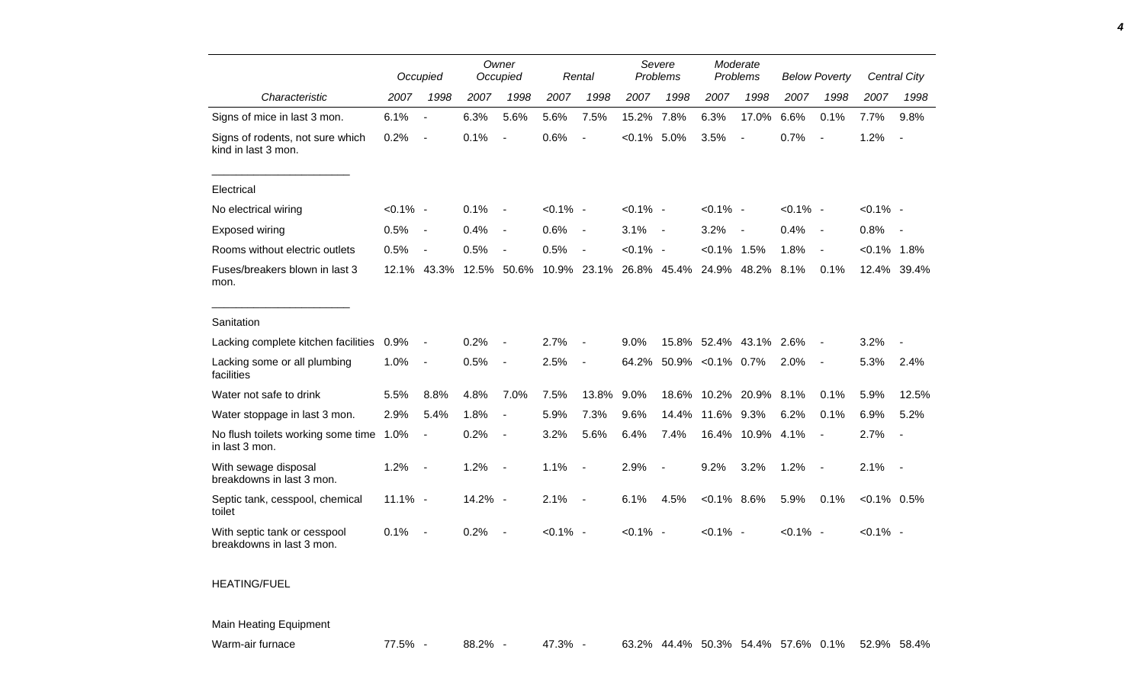|                                                           |             | Occupied                 |         | Owner<br>Occupied        |             | Rental                   |             | Severe<br>Problems       | Moderate<br>Problems |                          | <b>Below Poverty</b> |                          |                | <b>Central City</b>      |
|-----------------------------------------------------------|-------------|--------------------------|---------|--------------------------|-------------|--------------------------|-------------|--------------------------|----------------------|--------------------------|----------------------|--------------------------|----------------|--------------------------|
| Characteristic                                            | 2007        | 1998                     | 2007    | 1998                     | 2007        | 1998                     | 2007        | 1998                     | 2007                 | 1998                     | 2007                 | 1998                     | 2007           | 1998                     |
| Signs of mice in last 3 mon.                              | 6.1%        | $\blacksquare$           | 6.3%    | 5.6%                     | 5.6%        | 7.5%                     | 15.2%       | 7.8%                     | 6.3%                 | 17.0%                    | 6.6%                 | 0.1%                     | 7.7%           | 9.8%                     |
| Signs of rodents, not sure which<br>kind in last 3 mon.   | 0.2%        | $\blacksquare$           | 0.1%    | $\blacksquare$           | 0.6%        | $\overline{a}$           | $< 0.1\%$   | 5.0%                     | 3.5%                 | $\overline{\phantom{a}}$ | 0.7%                 | $\overline{\phantom{a}}$ | 1.2%           | $\overline{\phantom{a}}$ |
| Electrical                                                |             |                          |         |                          |             |                          |             |                          |                      |                          |                      |                          |                |                          |
| No electrical wiring                                      | $< 0.1\%$ - |                          | 0.1%    |                          | $< 0.1\%$ - |                          | $< 0.1\%$ - |                          | $< 0.1\%$ -          |                          | $< 0.1\%$ -          |                          | $< 0.1\%$ -    |                          |
| Exposed wiring                                            | 0.5%        | $\blacksquare$           | 0.4%    | $\overline{\phantom{a}}$ | 0.6%        | $\overline{\phantom{a}}$ | 3.1%        | $\overline{\phantom{a}}$ | 3.2%                 | $\overline{\phantom{a}}$ | 0.4%                 | $\overline{\phantom{a}}$ | 0.8%           |                          |
| Rooms without electric outlets                            | 0.5%        | $\overline{a}$           | 0.5%    | $\blacksquare$           | 0.5%        | $\sim$                   | $< 0.1\%$ - |                          | $< 0.1\%$ 1.5%       |                          | 1.8%                 | $\blacksquare$           | $< 0.1\%$ 1.8% |                          |
| Fuses/breakers blown in last 3<br>mon.                    | 12.1%       | 43.3%                    | 12.5%   | 50.6%                    |             | 10.9% 23.1%              | 26.8% 45.4% |                          | 24.9%                | 48.2%                    | 8.1%                 | 0.1%                     |                | 12.4% 39.4%              |
| Sanitation                                                |             |                          |         |                          |             |                          |             |                          |                      |                          |                      |                          |                |                          |
| Lacking complete kitchen facilities                       | 0.9%        | $\overline{\phantom{a}}$ | 0.2%    |                          | 2.7%        | $\blacksquare$           | 9.0%        |                          | 15.8% 52.4%          | 43.1% 2.6%               |                      | $\overline{\phantom{a}}$ | 3.2%           |                          |
| Lacking some or all plumbing<br>facilities                | 1.0%        | $\overline{a}$           | 0.5%    | $\blacksquare$           | 2.5%        | $\overline{a}$           | 64.2%       |                          | 50.9% < 0.1% 0.7%    |                          | 2.0%                 | $\overline{\phantom{a}}$ | 5.3%           | 2.4%                     |
| Water not safe to drink                                   | 5.5%        | 8.8%                     | 4.8%    | 7.0%                     | 7.5%        | 13.8%                    | 9.0%        | 18.6%                    | 10.2%                | 20.9%                    | 8.1%                 | 0.1%                     | 5.9%           | 12.5%                    |
| Water stoppage in last 3 mon.                             | 2.9%        | 5.4%                     | 1.8%    | $\blacksquare$           | 5.9%        | 7.3%                     | 9.6%        | 14.4%                    | 11.6%                | 9.3%                     | 6.2%                 | 0.1%                     | 6.9%           | 5.2%                     |
| No flush toilets working some time<br>in last 3 mon.      | 1.0%        | $\overline{\phantom{a}}$ | 0.2%    | $\overline{\phantom{a}}$ | 3.2%        | 5.6%                     | 6.4%        | 7.4%                     | 16.4%                | 10.9%                    | 4.1%                 | $\blacksquare$           | 2.7%           |                          |
| With sewage disposal<br>breakdowns in last 3 mon.         | 1.2%        | $\blacksquare$           | 1.2%    | $\overline{\phantom{a}}$ | 1.1%        | $\blacksquare$           | 2.9%        | $\overline{\phantom{a}}$ | 9.2%                 | 3.2%                     | 1.2%                 | $\overline{\phantom{a}}$ | 2.1%           | $\sim$                   |
| Septic tank, cesspool, chemical<br>toilet                 | $11.1\% -$  |                          | 14.2% - |                          | 2.1%        | $\overline{\phantom{a}}$ | 6.1%        | 4.5%                     | $< 0.1\%$ 8.6%       |                          | 5.9%                 | 0.1%                     | $< 0.1\%$ 0.5% |                          |
| With septic tank or cesspool<br>breakdowns in last 3 mon. | 0.1%        | $\overline{\phantom{a}}$ | 0.2%    |                          | $< 0.1\%$ - |                          | $< 0.1\%$ - |                          | $< 0.1\%$ -          |                          | $< 0.1\%$ -          |                          | $< 0.1\%$ -    |                          |

## HEATING/FUEL

## Main Heating Equipment

Warm-air furnace **77.5% - 88.2% - 47.3% - 63.2% 44.4% 50.3%** 54.4% 57.6% 0.1% 52.9% 58.4%

*4*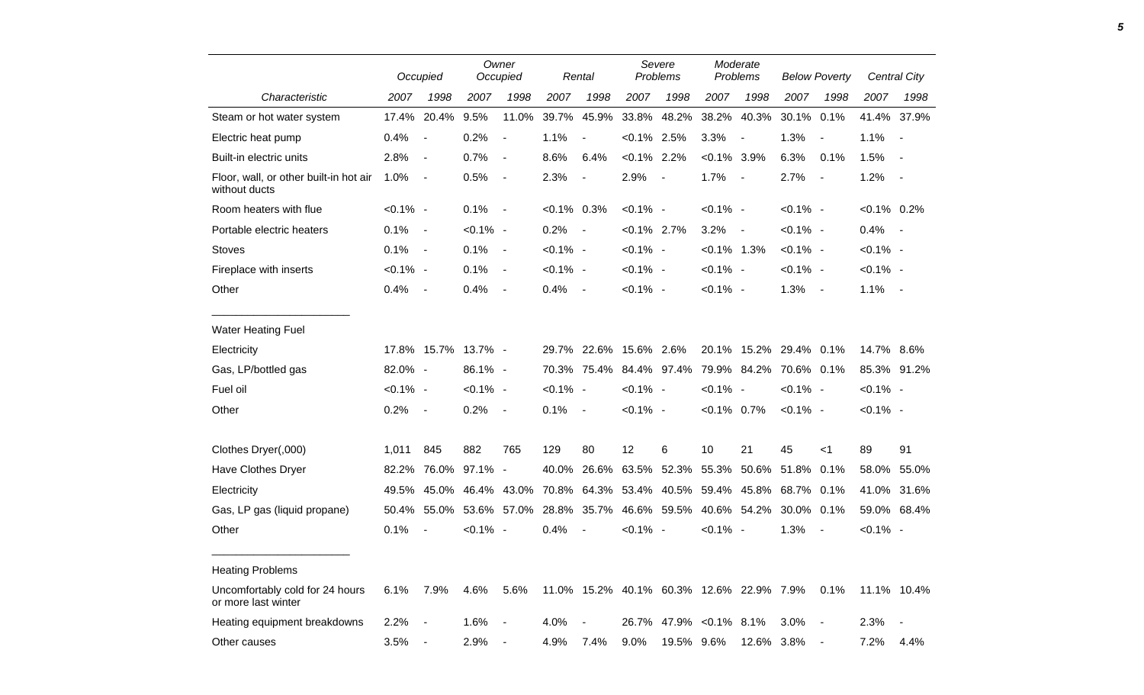|                                                         |             | Occupied                 |               | Owner<br>Occupied        |                | Rental                   |                | Severe<br>Problems                       |                | Moderate<br>Problems     |                        | <b>Below Poverty</b>     |                | Central City             |
|---------------------------------------------------------|-------------|--------------------------|---------------|--------------------------|----------------|--------------------------|----------------|------------------------------------------|----------------|--------------------------|------------------------|--------------------------|----------------|--------------------------|
| Characteristic                                          | 2007        | 1998                     | 2007          | 1998                     | 2007           | 1998                     | 2007           | 1998                                     | 2007           | 1998                     | 2007                   | 1998                     | 2007           | 1998                     |
| Steam or hot water system                               | 17.4%       | 20.4%                    | 9.5%          | 11.0%                    | 39.7%          | 45.9%                    | 33.8%          | 48.2%                                    | 38.2%          | 40.3%                    | 30.1%                  | 0.1%                     | 41.4%          | 37.9%                    |
| Electric heat pump                                      | 0.4%        | $\overline{a}$           | 0.2%          | $\overline{a}$           | 1.1%           | $\blacksquare$           | $< 0.1\%$ 2.5% |                                          | 3.3%           | $\overline{\phantom{a}}$ | 1.3%                   | $\overline{\phantom{a}}$ | 1.1%           | $\overline{\phantom{a}}$ |
| Built-in electric units                                 | 2.8%        | $\blacksquare$           | 0.7%          | $\overline{\phantom{a}}$ | 8.6%           | 6.4%                     | $< 0.1\%$ 2.2% |                                          | $< 0.1\%$ 3.9% |                          | 6.3%                   | 0.1%                     | 1.5%           | $\blacksquare$           |
| Floor, wall, or other built-in hot air<br>without ducts | 1.0%        | $\overline{a}$           | 0.5%          | $\overline{a}$           | 2.3%           | $\overline{a}$           | 2.9%           | $\overline{\phantom{a}}$                 | 1.7%           | $\overline{\phantom{a}}$ | 2.7%                   | $\overline{a}$           | 1.2%           | $\blacksquare$           |
| Room heaters with flue                                  | $< 0.1\%$ - |                          | 0.1%          | $\blacksquare$           | $< 0.1\%$ 0.3% |                          | $< 0.1\%$ -    |                                          | $< 0.1\%$ -    |                          | $< 0.1\%$ -            |                          | $< 0.1\%$ 0.2% |                          |
| Portable electric heaters                               | 0.1%        | $\blacksquare$           | $< 0.1\%$ -   |                          | 0.2%           | $\overline{\phantom{a}}$ | $< 0.1\%$ 2.7% |                                          | 3.2%           | $\overline{\phantom{a}}$ | $< 0.1\%$ -            |                          | 0.4%           | $\overline{\phantom{a}}$ |
| <b>Stoves</b>                                           | 0.1%        | $\overline{\phantom{a}}$ | 0.1%          | $\overline{\phantom{a}}$ | $< 0.1\%$ -    |                          | $< 0.1\%$ -    |                                          | $< 0.1\%$ 1.3% |                          | $< 0.1\%$ -            |                          | $< 0.1\%$ -    |                          |
| Fireplace with inserts                                  | $< 0.1\%$ - |                          | 0.1%          | $\overline{\phantom{a}}$ | $< 0.1\%$ -    |                          | $< 0.1\%$ -    |                                          | $< 0.1\%$ -    |                          | $< 0.1\%$ -            |                          | $< 0.1\%$ -    |                          |
| Other                                                   | 0.4%        | $\overline{\phantom{a}}$ | 0.4%          | $\overline{\phantom{a}}$ | 0.4%           | $\overline{\phantom{a}}$ | $< 0.1\%$ -    |                                          | $< 0.1\%$ -    |                          | 1.3%                   | $\sim$                   | 1.1%           | $\sim$                   |
| <b>Water Heating Fuel</b>                               |             |                          |               |                          |                |                          |                |                                          |                |                          |                        |                          |                |                          |
| Electricity                                             | 17.8%       |                          | 15.7% 13.7% - |                          | 29.7%          | 22.6%                    | 15.6% 2.6%     |                                          |                |                          | 20.1% 15.2% 29.4% 0.1% |                          | 14.7% 8.6%     |                          |
| Gas, LP/bottled gas                                     | 82.0% -     |                          | 86.1% -       |                          | 70.3%          | 75.4%                    |                | 84.4% 97.4%                              |                | 79.9% 84.2%              | 70.6% 0.1%             |                          |                | 85.3% 91.2%              |
| Fuel oil                                                | $< 0.1\%$ - |                          | $< 0.1\%$ -   |                          | $< 0.1\%$ -    |                          | $< 0.1\%$ -    |                                          | $< 0.1\%$ -    |                          | $< 0.1\%$ -            |                          | $< 0.1\%$ -    |                          |
| Other                                                   | 0.2%        | $\blacksquare$           | 0.2%          | $\blacksquare$           | 0.1%           | $\overline{\phantom{a}}$ | $< 0.1\%$ -    |                                          | $< 0.1\%$ 0.7% |                          | $< 0.1\%$ -            |                          | <0.1% -        |                          |
| Clothes Dryer(,000)                                     | 1,011       | 845                      | 882           | 765                      | 129            | 80                       | 12             | 6                                        | 10             | 21                       | 45                     | $<$ 1                    | 89             | 91                       |
| Have Clothes Dryer                                      | 82.2%       | 76.0%                    | 97.1%         | $\blacksquare$           | 40.0%          | 26.6%                    | 63.5%          | 52.3%                                    | 55.3%          | 50.6%                    | 51.8%                  | 0.1%                     | 58.0%          | 55.0%                    |
| Electricity                                             | 49.5%       |                          | 45.0% 46.4%   | 43.0%                    | 70.8%          | 64.3%                    | 53.4%          | 40.5%                                    |                | 59.4% 45.8%              | 68.7%                  | $0.1\%$                  |                | 41.0% 31.6%              |
| Gas, LP gas (liquid propane)                            | 50.4%       | 55.0%                    | 53.6%         | 57.0%                    | 28.8%          | 35.7%                    |                | 46.6% 59.5%                              |                | 40.6% 54.2%              | 30.0%                  | 0.1%                     |                | 59.0% 68.4%              |
| Other                                                   | 0.1%        |                          | $< 0.1\%$     | $\sim$                   | 0.4%           | $\blacksquare$           | $< 0.1\%$ -    |                                          | $< 0.1\%$ -    |                          | 1.3%                   |                          | $< 0.1\%$ -    |                          |
| <b>Heating Problems</b>                                 |             |                          |               |                          |                |                          |                |                                          |                |                          |                        |                          |                |                          |
| Uncomfortably cold for 24 hours<br>or more last winter  | 6.1%        | 7.9%                     | 4.6%          | 5.6%                     |                |                          |                | 11.0% 15.2% 40.1% 60.3% 12.6% 22.9% 7.9% |                |                          |                        | 0.1%                     |                | 11.1% 10.4%              |
| Heating equipment breakdowns                            | 2.2%        |                          | 1.6%          |                          | 4.0%           |                          | 26.7%          | 47.9%                                    | $< 0.1\%$ 8.1% |                          | 3.0%                   |                          | 2.3%           |                          |
| Other causes                                            | 3.5%        |                          | 2.9%          |                          | 4.9%           | 7.4%                     | 9.0%           | 19.5% 9.6%                               |                | 12.6%                    | 3.8%                   | $\sim$                   | 7.2%           | 4.4%                     |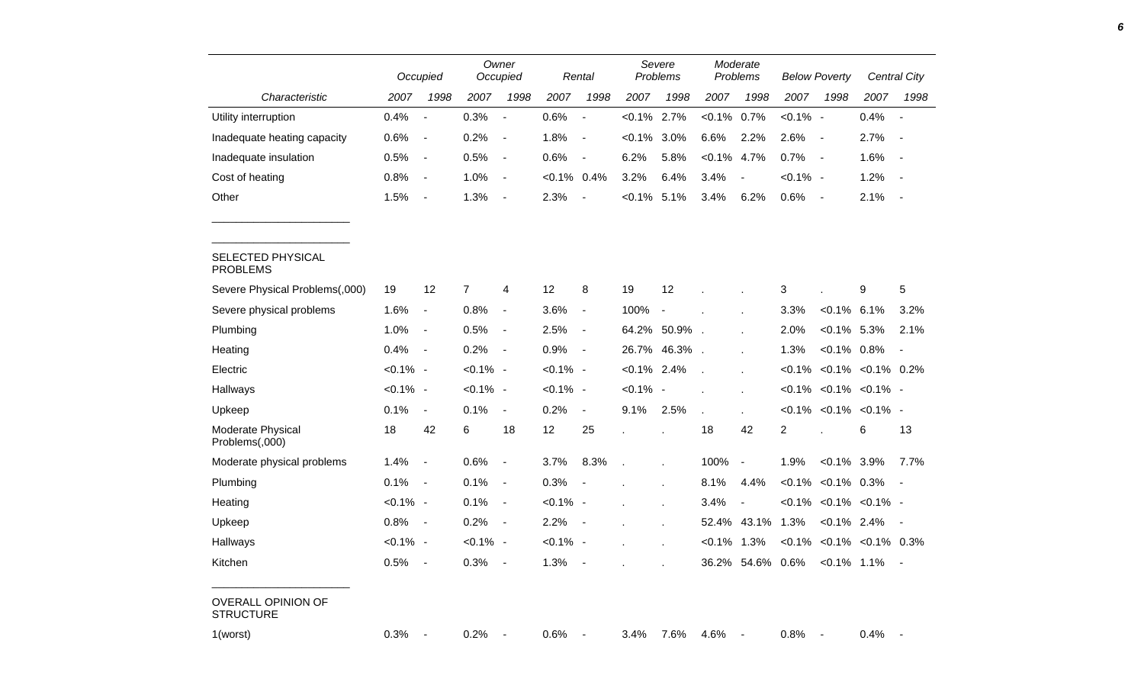|                                               |             | Occupied       |                | Owner<br>Occupied        |                | Rental                   | Severe<br>Problems |                | Moderate<br>Problems |                |                                | <b>Below Poverty</b>     | Central City                       |            |
|-----------------------------------------------|-------------|----------------|----------------|--------------------------|----------------|--------------------------|--------------------|----------------|----------------------|----------------|--------------------------------|--------------------------|------------------------------------|------------|
| Characteristic                                | 2007        | 1998           | 2007           | 1998                     | 2007           | 1998                     | 2007               | 1998           | 2007                 | 1998           | 2007                           | 1998                     | 2007                               | 1998       |
| Utility interruption                          | 0.4%        | $\blacksquare$ | 0.3%           | $\overline{\phantom{a}}$ | 0.6%           | $\blacksquare$           | $< 0.1\%$          | 2.7%           | $< 0.1\%$ 0.7%       |                | $< 0.1\%$ -                    |                          | 0.4%                               | $\sim$     |
| Inadequate heating capacity                   | 0.6%        | $\blacksquare$ | 0.2%           | $\overline{\phantom{a}}$ | 1.8%           | $\blacksquare$           | $< 0.1\%$          | 3.0%           | 6.6%                 | 2.2%           | 2.6%                           | $\sim$                   | 2.7%                               | $\sim$     |
| Inadequate insulation                         | 0.5%        | $\sim$         | 0.5%           | $\overline{\phantom{a}}$ | 0.6%           | $\blacksquare$           | 6.2%               | 5.8%           | $< 0.1\%$ 4.7%       |                | 0.7%                           | $\sim$                   | 1.6%                               | $\sim$     |
| Cost of heating                               | 0.8%        | $\blacksquare$ | 1.0%           | $\sim$ $-$               | $< 0.1\%$ 0.4% |                          | 3.2%               | 6.4%           | 3.4%                 | $\blacksquare$ | $< 0.1\%$ -                    |                          | 1.2%                               | $\sim$     |
| Other                                         | 1.5%        | $\blacksquare$ | 1.3%           | $\sim$                   | 2.3%           | $\blacksquare$           | $< 0.1\%$ 5.1%     |                | 3.4%                 | 6.2%           | 0.6%                           | $\sim$                   | 2.1%                               | $\sim$ $-$ |
| SELECTED PHYSICAL<br><b>PROBLEMS</b>          |             |                |                |                          |                |                          |                    |                |                      |                |                                |                          |                                    |            |
| Severe Physical Problems(,000)                | 19          | 12             | $\overline{7}$ | 4                        | 12             | 8                        | 19                 | 12             |                      |                | 3                              |                          | 9                                  | $\sqrt{5}$ |
| Severe physical problems                      | 1.6%        | $\blacksquare$ | 0.8%           | $\blacksquare$           | 3.6%           | $\overline{\phantom{a}}$ | 100%               | $\sim$         |                      |                | 3.3%                           | $< 0.1\%$ 6.1%           |                                    | 3.2%       |
| Plumbing                                      | 1.0%        | $\sim$         | 0.5%           | $\sim$                   | 2.5%           | $\blacksquare$           |                    | 64.2% 50.9%.   |                      |                | 2.0%                           | $< 0.1\%$ 5.3%           |                                    | 2.1%       |
| Heating                                       | 0.4%        | $\sim$         | 0.2%           | $\sim$ $-$               | 0.9%           | $\sim$                   |                    | 26.7% 46.3%.   |                      |                | 1.3%                           | $< 0.1\%$ 0.8%           |                                    | $\sim$     |
| Electric                                      | $< 0.1\%$ - |                | $< 0.1\%$ -    |                          | $< 0.1\%$ -    |                          | $< 0.1\%$ 2.4%     |                | $\mathcal{L}$        |                |                                |                          | $< 0.1\%$ $< 0.1\%$ $< 0.1\%$ 0.2% |            |
| Hallways                                      | $< 0.1\%$ - |                | $< 0.1\%$ -    |                          | $< 0.1\%$ -    |                          | $< 0.1\%$ -        |                |                      |                |                                |                          | $< 0.1\%$ $< 0.1\%$ $< 0.1\%$ -    |            |
| Upkeep                                        | 0.1%        | $\blacksquare$ | 0.1%           | $\blacksquare$           | 0.2%           | $\blacksquare$           | 9.1%               | 2.5%           |                      |                |                                |                          | $< 0.1\%$ < 0.1% < 0.1% -          |            |
| Moderate Physical<br>Problems(,000)           | 18          | 42             | 6              | 18                       | 12             | 25                       |                    | $\mathbf{r}$   | 18                   | 42             | $\overline{2}$                 |                          | 6                                  | 13         |
| Moderate physical problems                    | 1.4%        | $\blacksquare$ | 0.6%           | $\blacksquare$           | 3.7%           | 8.3%                     |                    | $\blacksquare$ | 100%                 | $\blacksquare$ | 1.9%                           | $< 0.1\%$ 3.9%           |                                    | 7.7%       |
| Plumbing                                      | 0.1%        | $\sim$         | 0.1%           | $\blacksquare$           | 0.3%           | $\blacksquare$           |                    |                | 8.1%                 | 4.4%           |                                | $< 0.1\%$ $< 0.1\%$ 0.3% |                                    | $\sim$ $-$ |
| Heating                                       | $< 0.1\%$ - |                | 0.1%           | $\blacksquare$           | $< 0.1\%$ -    |                          |                    |                | 3.4%                 |                |                                |                          | $< 0.1\%$ $< 0.1\%$ $< 0.1\%$ -    |            |
| Upkeep                                        | 0.8%        | $\sim$         | 0.2%           | $\sim$                   | 2.2%           | $\blacksquare$           |                    | $\epsilon$     |                      | 52.4% 43.1%    | 1.3%                           |                          | $< 0.1\%$ 2.4% -                   |            |
| Hallways                                      | $< 0.1\%$ - |                | $< 0.1\%$ -    |                          | $< 0.1\%$ -    |                          |                    | $\mathbf{r}$   | $< 0.1\%$ 1.3%       |                |                                |                          | $< 0.1\%$ $< 0.1\%$ $< 0.1\%$ 0.3% |            |
| Kitchen                                       | $0.5\%$ -   |                | $0.3\%$ -      |                          | 1.3%           |                          |                    |                |                      |                | 36.2% 54.6% 0.6% < 0.1% 1.1% - |                          |                                    |            |
| <b>OVERALL OPINION OF</b><br><b>STRUCTURE</b> |             |                |                |                          |                |                          |                    |                |                      |                |                                |                          |                                    |            |
| 1(worst)                                      | $0.3\%$ -   |                | $0.2\%$ -      |                          | $0.6\%$ -      |                          | 3.4%               | 7.6%           | 4.6% -               |                | $0.8\%$ -                      |                          | $0.4\%$ -                          |            |